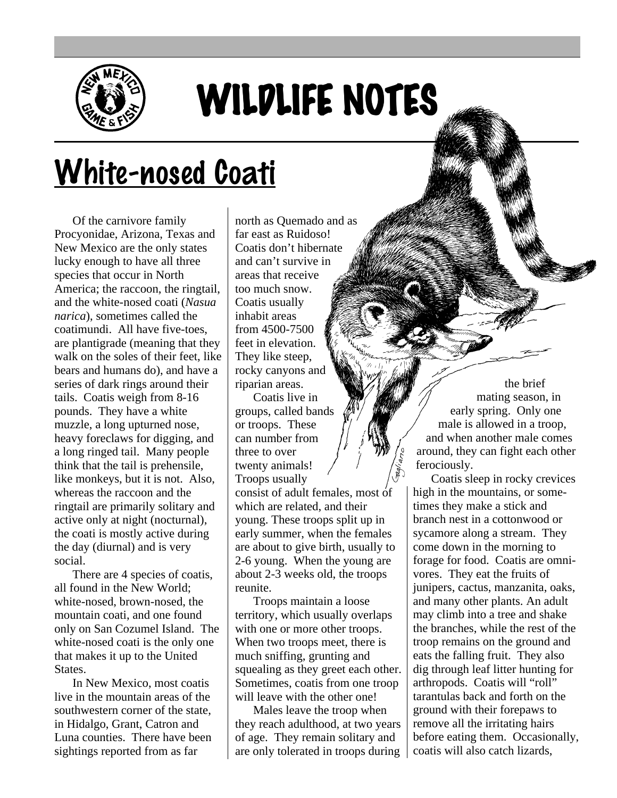

## WILDLIFE NOTES

## White-nosed Coati

Of the carnivore family Procyonidae, Arizona, Texas and New Mexico are the only states lucky enough to have all three species that occur in North America; the raccoon, the ringtail, and the white-nosed coati (*Nasua narica*), sometimes called the coatimundi. All have five-toes, are plantigrade (meaning that they walk on the soles of their feet, like bears and humans do), and have a series of dark rings around their tails. Coatis weigh from 8-16 pounds. They have a white muzzle, a long upturned nose, heavy foreclaws for digging, and a long ringed tail. Many people think that the tail is prehensile, like monkeys, but it is not. Also, whereas the raccoon and the ringtail are primarily solitary and active only at night (nocturnal), the coati is mostly active during the day (diurnal) and is very social.

There are 4 species of coatis, all found in the New World; white-nosed, brown-nosed, the mountain coati, and one found only on San Cozumel Island. The white-nosed coati is the only one that makes it up to the United States.

In New Mexico, most coatis live in the mountain areas of the southwestern corner of the state, in Hidalgo, Grant, Catron and Luna counties. There have been sightings reported from as far

north as Quemado and as far east as Ruidoso! Coatis don't hibernate and can't survive in areas that receive too much snow. Coatis usually inhabit areas from 4500-7500 feet in elevation. They like steep, rocky canyons and riparian areas.

Coatis live in groups, called bands or troops. These can number from three to over twenty animals! Troops usually consist of adult females, most of which are related, and their young. These troops split up in early summer, when the females are about to give birth, usually to 2-6 young. When the young are about 2-3 weeks old, the troops reunite.

Troops maintain a loose territory, which usually overlaps with one or more other troops. When two troops meet, there is much sniffing, grunting and squealing as they greet each other. Sometimes, coatis from one troop will leave with the other one!

Males leave the troop when they reach adulthood, at two years of age. They remain solitary and are only tolerated in troops during

the brief mating season, in early spring. Only one male is allowed in a troop, and when another male comes around, they can fight each other ferociously.

Coatis sleep in rocky crevices high in the mountains, or sometimes they make a stick and branch nest in a cottonwood or sycamore along a stream. They come down in the morning to forage for food. Coatis are omnivores. They eat the fruits of junipers, cactus, manzanita, oaks, and many other plants. An adult may climb into a tree and shake the branches, while the rest of the troop remains on the ground and eats the falling fruit. They also dig through leaf litter hunting for arthropods. Coatis will "roll" tarantulas back and forth on the ground with their forepaws to remove all the irritating hairs before eating them. Occasionally, coatis will also catch lizards,